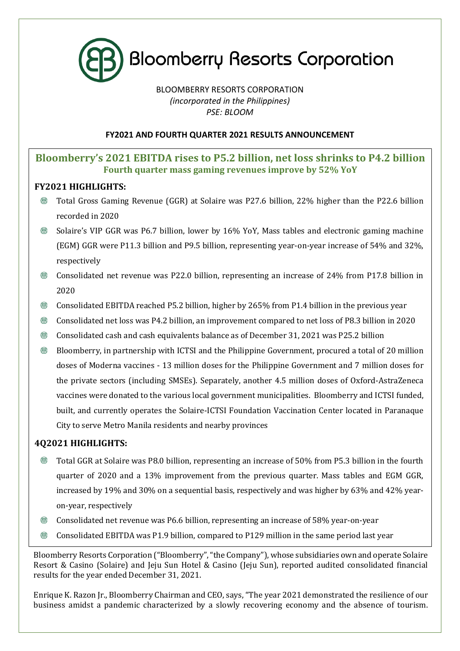

# BLOOMBERRY RESORTS CORPORATION *(incorporated in the Philippines) PSE: BLOOM*

# **FY2021 AND FOURTH QUARTER 2021 RESULTS ANNOUNCEMENT**

# **Bloomberry's 2021 EBITDA rises to P5.2 billion, net loss shrinks to P4.2 billion Fourth quarter mass gaming revenues improve by 52% YoY**

# **FY2021 HIGHLIGHTS:**

- ® Total Gross Gaming Revenue (GGR) at Solaire was P27.6 billion, 22% higher than the P22.6 billion recorded in 2020
- $\circledR$ Solaire's VIP GGR was P6.7 billion, lower by 16% YoY, Mass tables and electronic gaming machine (EGM) GGR were P11.3 billion and P9.5 billion, representing year-on-year increase of 54% and 32%, respectively
- $^{\circledR}$ Consolidated net revenue was P22.0 billion, representing an increase of 24% from P17.8 billion in 2020
- Consolidated EBITDA reached P5.2 billion, higher by 265% from P1.4 billion in the previous year  $\circledR$
- $^{\circledR}$ Consolidated net loss was P4.2 billion, an improvement compared to net loss of P8.3 billion in 2020
- $\circledR$ Consolidated cash and cash equivalents balance as of December 31, 2021 was P25.2 billion
- $^{\circledR}$ Bloomberry, in partnership with ICTSI and the Philippine Government, procured a total of 20 million doses of Moderna vaccines - 13 million doses for the Philippine Government and 7 million doses for the private sectors (including SMSEs). Separately, another 4.5 million doses of Oxford-AstraZeneca vaccines were donated to the various local government municipalities. Bloomberry and ICTSI funded, built, and currently operates the Solaire-ICTSI Foundation Vaccination Center located in Paranaque City to serve Metro Manila residents and nearby provinces

# **4Q2021 HIGHLIGHTS:**

- $\circledR$ Total GGR at Solaire was P8.0 billion, representing an increase of 50% from P5.3 billion in the fourth quarter of 2020 and a 13% improvement from the previous quarter. Mass tables and EGM GGR, increased by 19% and 30% on a sequential basis, respectively and was higher by 63% and 42% yearon-year, respectively
- **®** Consolidated net revenue was P6.6 billion, representing an increase of 58% year-on-year
- $^{\circledR}$ Consolidated EBITDA was P1.9 billion, compared to P129 million in the same period last year

Bloomberry Resorts Corporation ("Bloomberry", "the Company"), whose subsidiaries own and operate Solaire Resort & Casino (Solaire) and Jeju Sun Hotel & Casino (Jeju Sun), reported audited consolidated financial results for the year ended December 31, 2021.

Enrique K. Razon Jr., Bloomberry Chairman and CEO, says, "The year 2021 demonstrated the resilience of our business amidst a pandemic characterized by a slowly recovering economy and the absence of tourism.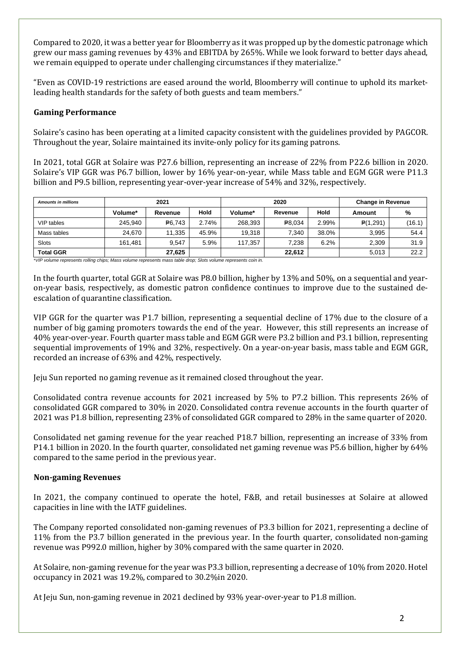Compared to 2020, it was a better year for Bloomberry as it was propped up by the domestic patronage which grew our mass gaming revenues by 43% and EBITDA by 265%. While we look forward to better days ahead, we remain equipped to operate under challenging circumstances if they materialize."

"Even as COVID-19 restrictions are eased around the world, Bloomberry will continue to uphold its marketleading health standards for the safety of both guests and team members."

## **Gaming Performance**

Solaire's casino has been operating at a limited capacity consistent with the guidelines provided by PAGCOR. Throughout the year, Solaire maintained its invite-only policy for its gaming patrons.

In 2021, total GGR at Solaire was P27.6 billion, representing an increase of 22% from P22.6 billion in 2020. Solaire's VIP GGR was P6.7 billion, lower by 16% year-on-year, while Mass table and EGM GGR were P11.3 billion and P9.5 billion, representing year-over-year increase of 54% and 32%, respectively.

| <b>Amounts in millions</b> | 2021    |         |       | 2020    |         |       | <b>Change in Revenue</b> |        |
|----------------------------|---------|---------|-------|---------|---------|-------|--------------------------|--------|
|                            | Volume* | Revenue | Hold  | Volume* | Revenue | Hold  | Amount                   | %      |
| VIP tables                 | 245.940 | P6.743  | 2.74% | 268.393 | P8,034  | 2.99% | P(1,291)                 | (16.1) |
| Mass tables                | 24.670  | 11.335  | 45.9% | 19.318  | 7.340   | 38.0% | 3.995                    | 54.4   |
| <b>Slots</b>               | 161.481 | 9.547   | 5.9%  | 117.357 | 7,238   | 6.2%  | 2,309                    | 31.9   |
| <b>Total GGR</b>           |         | 27,625  |       |         | 22.612  |       | 5,013                    | 22.2   |

\**VIP volume represents rolling chips; Mass volume represents mass table drop; Slots volume represents coin in.*

In the fourth quarter, total GGR at Solaire was P8.0 billion, higher by 13% and 50%, on a sequential and yearon-year basis, respectively, as domestic patron confidence continues to improve due to the sustained deescalation of quarantine classification.

VIP GGR for the quarter was P1.7 billion, representing a sequential decline of 17% due to the closure of a number of big gaming promoters towards the end of the year. However, this still represents an increase of 40% year-over-year. Fourth quarter mass table and EGM GGR were P3.2 billion and P3.1 billion, representing sequential improvements of 19% and 32%, respectively. On a year-on-year basis, mass table and EGM GGR, recorded an increase of 63% and 42%, respectively.

Jeju Sun reported no gaming revenue as it remained closed throughout the year.

Consolidated contra revenue accounts for 2021 increased by 5% to P7.2 billion. This represents 26% of consolidated GGR compared to 30% in 2020. Consolidated contra revenue accounts in the fourth quarter of 2021 was P1.8 billion, representing 23% of consolidated GGR compared to 28% in the same quarter of 2020.

Consolidated net gaming revenue for the year reached P18.7 billion, representing an increase of 33% from P14.1 billion in 2020. In the fourth quarter, consolidated net gaming revenue was P5.6 billion, higher by 64% compared to the same period in the previous year.

## **Non-gaming Revenues**

In 2021, the company continued to operate the hotel, F&B, and retail businesses at Solaire at allowed capacities in line with the IATF guidelines.

The Company reported consolidated non-gaming revenues of P3.3 billion for 2021, representing a decline of 11% from the P3.7 billion generated in the previous year. In the fourth quarter, consolidated non-gaming revenue was P992.0 million, higher by 30% compared with the same quarter in 2020.

At Solaire, non-gaming revenue for the year was P3.3 billion, representing a decrease of 10% from 2020. Hotel occupancy in 2021 was 19.2%, compared to 30.2%in 2020.

At Jeju Sun, non-gaming revenue in 2021 declined by 93% year-over-year to P1.8 million.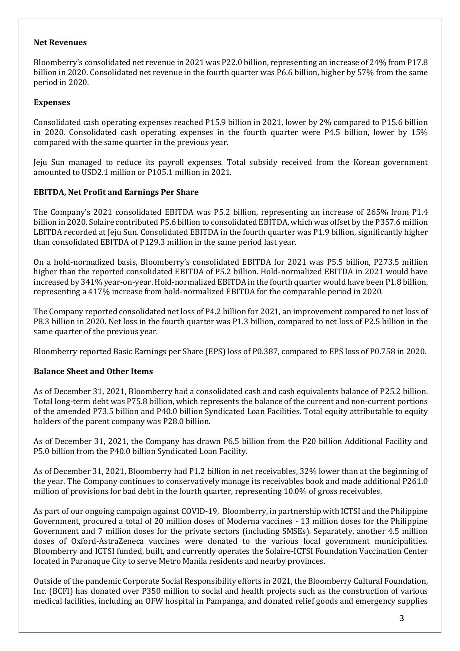#### **Net Revenues**

Bloomberry's consolidated net revenue in 2021 was P22.0 billion, representing an increase of 24% from P17.8 billion in 2020. Consolidated net revenue in the fourth quarter was P6.6 billion, higher by 57% from the same period in 2020.

### **Expenses**

Consolidated cash operating expenses reached P15.9 billion in 2021, lower by 2% compared to P15.6 billion in 2020. Consolidated cash operating expenses in the fourth quarter were P4.5 billion, lower by 15% compared with the same quarter in the previous year.

Jeju Sun managed to reduce its payroll expenses. Total subsidy received from the Korean government amounted to USD2.1 million or P105.1 million in 2021.

## **EBITDA, Net Profit and Earnings Per Share**

The Company's 2021 consolidated EBITDA was P5.2 billion, representing an increase of 265% from P1.4 billion in 2020. Solaire contributed P5.6 billion to consolidated EBITDA, which was offset by the P357.6 million LBITDA recorded at Jeju Sun. Consolidated EBITDA in the fourth quarter was P1.9 billion, significantly higher than consolidated EBITDA of P129.3 million in the same period last year.

On a hold-normalized basis, Bloomberry's consolidated EBITDA for 2021 was P5.5 billion, P273.5 million higher than the reported consolidated EBITDA of P5.2 billion. Hold-normalized EBITDA in 2021 would have increased by 341% year-on-year. Hold-normalized EBITDA in the fourth quarter would have been P1.8 billion, representing a 417% increase from hold-normalized EBITDA for the comparable period in 2020.

The Company reported consolidated net loss of P4.2 billion for 2021, an improvement compared to net loss of P8.3 billion in 2020. Net loss in the fourth quarter was P1.3 billion, compared to net loss of P2.5 billion in the same quarter of the previous year.

Bloomberry reported Basic Earnings per Share (EPS) loss of P0.387, compared to EPS loss of P0.758 in 2020.

## **Balance Sheet and Other Items**

As of December 31, 2021, Bloomberry had a consolidated cash and cash equivalents balance of P25.2 billion. Total long-term debt was P75.8 billion, which represents the balance of the current and non-current portions of the amended P73.5 billion and P40.0 billion Syndicated Loan Facilities. Total equity attributable to equity holders of the parent company was P28.0 billion.

As of December 31, 2021, the Company has drawn P6.5 billion from the P20 billion Additional Facility and P5.0 billion from the P40.0 billion Syndicated Loan Facility.

As of December 31, 2021, Bloomberry had P1.2 billion in net receivables, 32% lower than at the beginning of the year. The Company continues to conservatively manage its receivables book and made additional P261.0 million of provisions for bad debt in the fourth quarter, representing 10.0% of gross receivables.

As part of our ongoing campaign against COVID-19, Bloomberry, in partnership with ICTSI and the Philippine Government, procured a total of 20 million doses of Moderna vaccines - 13 million doses for the Philippine Government and 7 million doses for the private sectors (including SMSEs). Separately, another 4.5 million doses of Oxford-AstraZeneca vaccines were donated to the various local government municipalities. Bloomberry and ICTSI funded, built, and currently operates the Solaire-ICTSI Foundation Vaccination Center located in Paranaque City to serve Metro Manila residents and nearby provinces.

Outside of the pandemic Corporate Social Responsibility efforts in 2021, the Bloomberry Cultural Foundation, Inc. (BCFI) has donated over P350 million to social and health projects such as the construction of various medical facilities, including an OFW hospital in Pampanga, and donated relief goods and emergency supplies